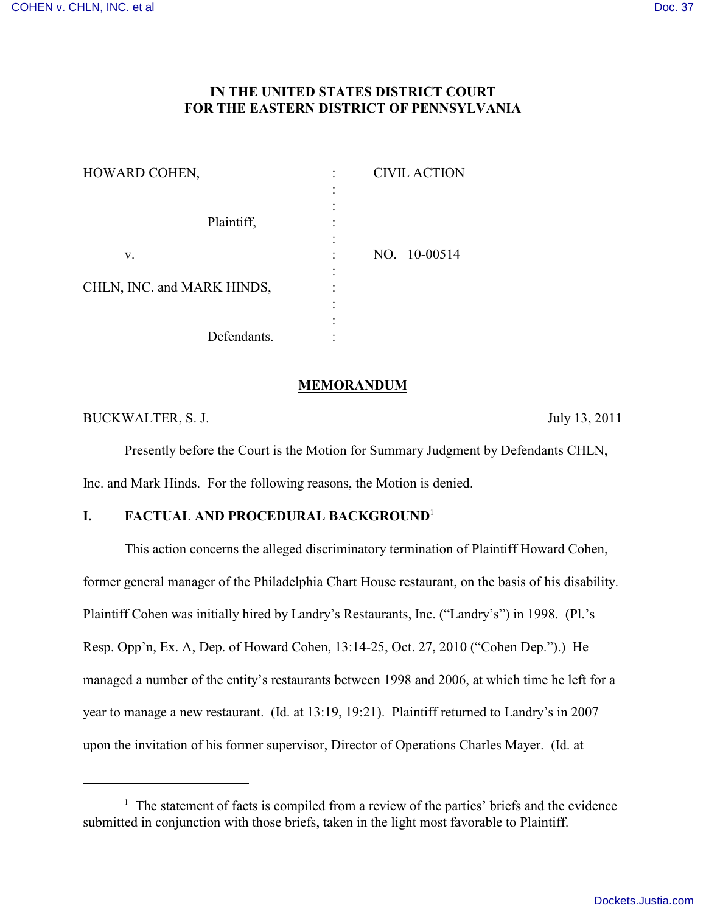# **IN THE UNITED STATES DISTRICT COURT FOR THE EASTERN DISTRICT OF PENNSYLVANIA**

| HOWARD COHEN,              | <b>CIVIL ACTION</b> |
|----------------------------|---------------------|
|                            |                     |
|                            |                     |
| Plaintiff,                 |                     |
|                            |                     |
| v.                         | NO. 10-00514        |
|                            |                     |
| CHLN, INC. and MARK HINDS, |                     |
|                            |                     |
|                            |                     |
| Defendants.                |                     |

#### **MEMORANDUM**

BUCKWALTER, S. J. July 13, 2011

Presently before the Court is the Motion for Summary Judgment by Defendants CHLN, Inc. and Mark Hinds. For the following reasons, the Motion is denied.

# **I. FACTUAL AND PROCEDURAL BACKGROUND<sup>1</sup>**

This action concerns the alleged discriminatory termination of Plaintiff Howard Cohen, former general manager of the Philadelphia Chart House restaurant, on the basis of his disability. Plaintiff Cohen was initially hired by Landry's Restaurants, Inc. ("Landry's") in 1998. (Pl.'s Resp. Opp'n, Ex. A, Dep. of Howard Cohen, 13:14-25, Oct. 27, 2010 ("Cohen Dep.").) He managed a number of the entity's restaurants between 1998 and 2006, at which time he left for a year to manage a new restaurant. (Id. at 13:19, 19:21). Plaintiff returned to Landry's in 2007 upon the invitation of his former supervisor, Director of Operations Charles Mayer. (Id. at

 $1$  The statement of facts is compiled from a review of the parties' briefs and the evidence submitted in conjunction with those briefs, taken in the light most favorable to Plaintiff.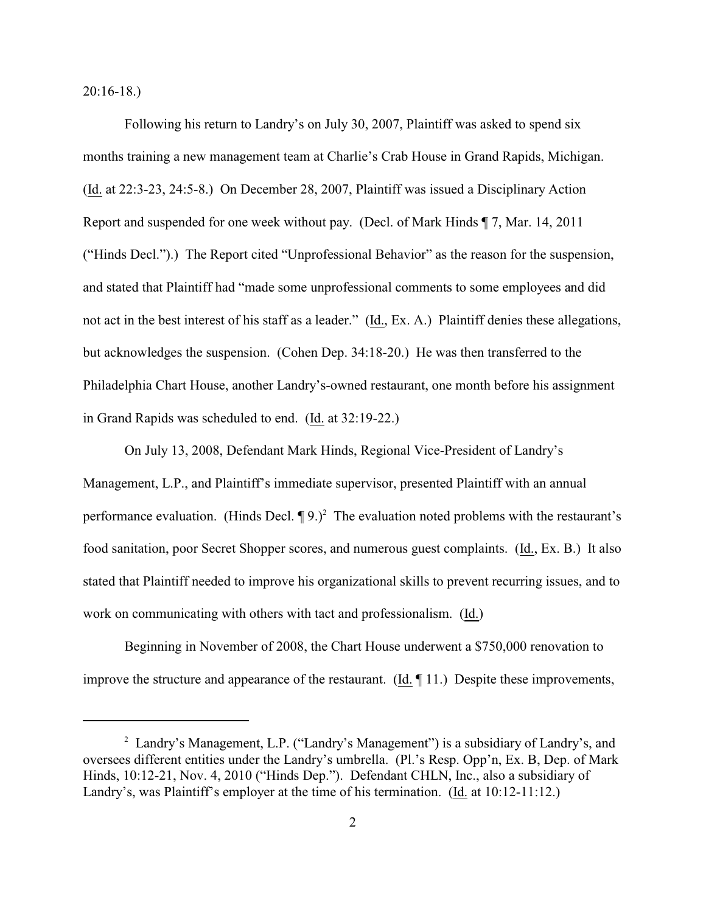20:16-18.)

Following his return to Landry's on July 30, 2007, Plaintiff was asked to spend six months training a new management team at Charlie's Crab House in Grand Rapids, Michigan. (Id. at 22:3-23, 24:5-8.) On December 28, 2007, Plaintiff was issued a Disciplinary Action Report and suspended for one week without pay. (Decl. of Mark Hinds ¶ 7, Mar. 14, 2011 ("Hinds Decl.").) The Report cited "Unprofessional Behavior" as the reason for the suspension, and stated that Plaintiff had "made some unprofessional comments to some employees and did not act in the best interest of his staff as a leader." (Id., Ex. A.) Plaintiff denies these allegations, but acknowledges the suspension. (Cohen Dep. 34:18-20.) He was then transferred to the Philadelphia Chart House, another Landry's-owned restaurant, one month before his assignment in Grand Rapids was scheduled to end. (Id. at 32:19-22.)

On July 13, 2008, Defendant Mark Hinds, Regional Vice-President of Landry's Management, L.P., and Plaintiff's immediate supervisor, presented Plaintiff with an annual performance evaluation. (Hinds Decl.  $\P$ 9.)<sup>2</sup> The evaluation noted problems with the restaurant's food sanitation, poor Secret Shopper scores, and numerous guest complaints. (Id., Ex. B.) It also stated that Plaintiff needed to improve his organizational skills to prevent recurring issues, and to work on communicating with others with tact and professionalism. (Id.)

Beginning in November of 2008, the Chart House underwent a \$750,000 renovation to improve the structure and appearance of the restaurant. (Id. ¶ 11.) Despite these improvements,

<sup>&</sup>lt;sup>2</sup> Landry's Management, L.P. ("Landry's Management") is a subsidiary of Landry's, and oversees different entities under the Landry's umbrella. (Pl.'s Resp. Opp'n, Ex. B, Dep. of Mark Hinds, 10:12-21, Nov. 4, 2010 ("Hinds Dep."). Defendant CHLN, Inc., also a subsidiary of Landry's, was Plaintiff's employer at the time of his termination. (Id. at 10:12-11:12.)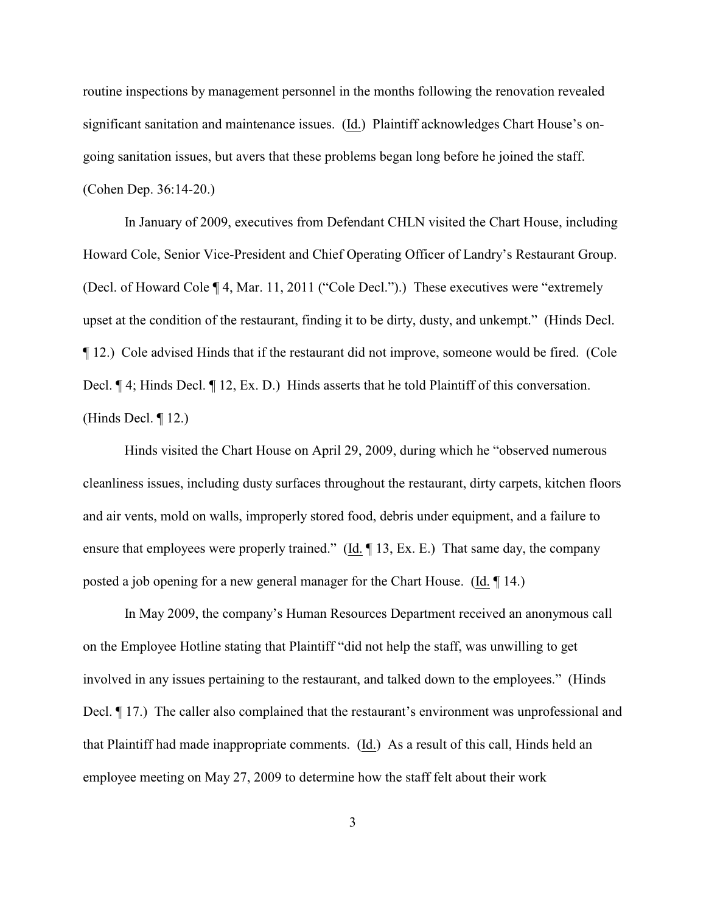routine inspections by management personnel in the months following the renovation revealed significant sanitation and maintenance issues. (Id.) Plaintiff acknowledges Chart House's ongoing sanitation issues, but avers that these problems began long before he joined the staff. (Cohen Dep. 36:14-20.)

In January of 2009, executives from Defendant CHLN visited the Chart House, including Howard Cole, Senior Vice-President and Chief Operating Officer of Landry's Restaurant Group. (Decl. of Howard Cole ¶ 4, Mar. 11, 2011 ("Cole Decl.").) These executives were "extremely upset at the condition of the restaurant, finding it to be dirty, dusty, and unkempt." (Hinds Decl. ¶ 12.) Cole advised Hinds that if the restaurant did not improve, someone would be fired. (Cole Decl.  $\P$  4; Hinds Decl.  $\P$  12, Ex. D.) Hinds asserts that he told Plaintiff of this conversation. (Hinds Decl. ¶ 12.)

Hinds visited the Chart House on April 29, 2009, during which he "observed numerous cleanliness issues, including dusty surfaces throughout the restaurant, dirty carpets, kitchen floors and air vents, mold on walls, improperly stored food, debris under equipment, and a failure to ensure that employees were properly trained." (Id. ¶ 13, Ex. E.) That same day, the company posted a job opening for a new general manager for the Chart House. (Id. ¶ 14.)

In May 2009, the company's Human Resources Department received an anonymous call on the Employee Hotline stating that Plaintiff "did not help the staff, was unwilling to get involved in any issues pertaining to the restaurant, and talked down to the employees." (Hinds Decl. ¶ 17.) The caller also complained that the restaurant's environment was unprofessional and that Plaintiff had made inappropriate comments. (Id.) As a result of this call, Hinds held an employee meeting on May 27, 2009 to determine how the staff felt about their work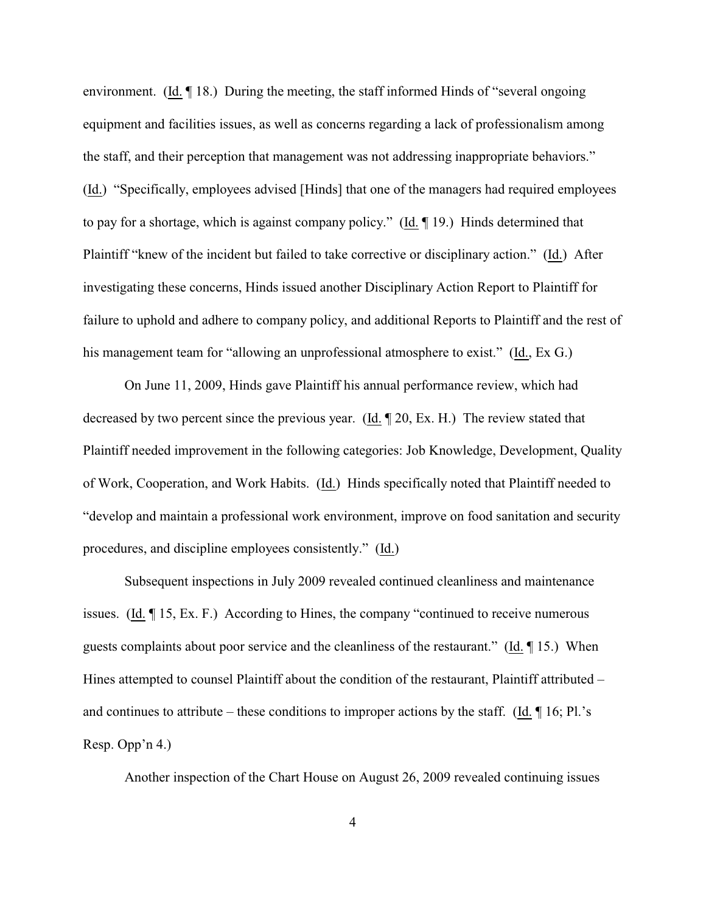environment. (Id. ¶ 18.) During the meeting, the staff informed Hinds of "several ongoing equipment and facilities issues, as well as concerns regarding a lack of professionalism among the staff, and their perception that management was not addressing inappropriate behaviors." (Id.) "Specifically, employees advised [Hinds] that one of the managers had required employees to pay for a shortage, which is against company policy." (Id. ¶ 19.) Hinds determined that Plaintiff "knew of the incident but failed to take corrective or disciplinary action." (Id.) After investigating these concerns, Hinds issued another Disciplinary Action Report to Plaintiff for failure to uphold and adhere to company policy, and additional Reports to Plaintiff and the rest of his management team for "allowing an unprofessional atmosphere to exist." (Id., Ex G.)

On June 11, 2009, Hinds gave Plaintiff his annual performance review, which had decreased by two percent since the previous year. (Id. ¶ 20, Ex. H.) The review stated that Plaintiff needed improvement in the following categories: Job Knowledge, Development, Quality of Work, Cooperation, and Work Habits. (Id.) Hinds specifically noted that Plaintiff needed to "develop and maintain a professional work environment, improve on food sanitation and security procedures, and discipline employees consistently." (Id.)

Subsequent inspections in July 2009 revealed continued cleanliness and maintenance issues. (Id. ¶ 15, Ex. F.) According to Hines, the company "continued to receive numerous guests complaints about poor service and the cleanliness of the restaurant." (Id. ¶ 15.) When Hines attempted to counsel Plaintiff about the condition of the restaurant, Plaintiff attributed – and continues to attribute – these conditions to improper actions by the staff. (Id.  $\P$  16; Pl.'s Resp. Opp'n 4.)

Another inspection of the Chart House on August 26, 2009 revealed continuing issues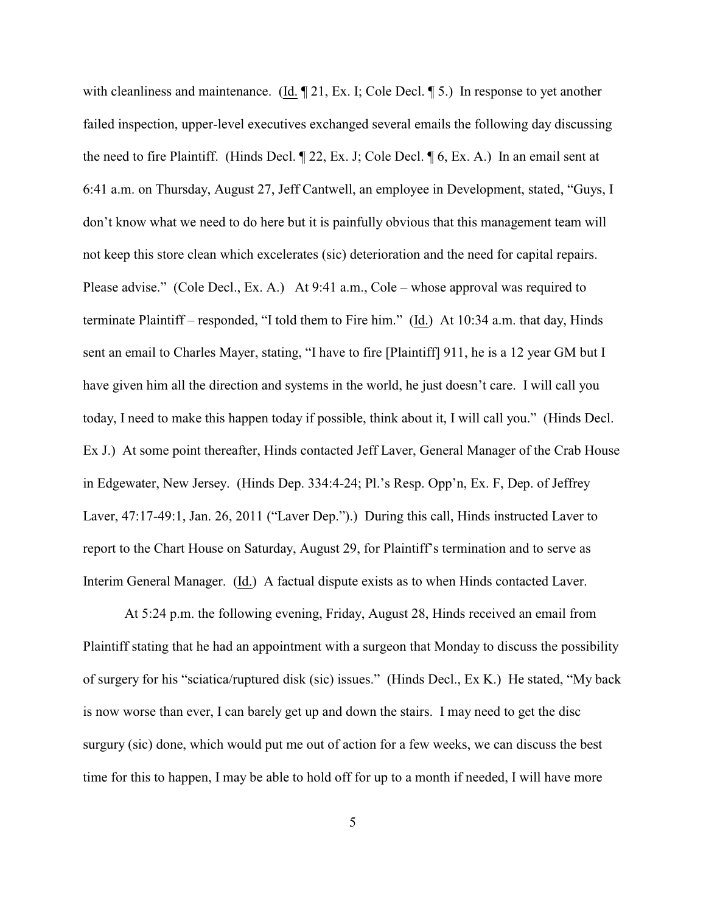with cleanliness and maintenance. (Id.  $\mathbb{Z}$  21, Ex. I; Cole Decl.  $\mathbb{Z}$  5.) In response to yet another failed inspection, upper-level executives exchanged several emails the following day discussing the need to fire Plaintiff. (Hinds Decl. ¶ 22, Ex. J; Cole Decl. ¶ 6, Ex. A.) In an email sent at 6:41 a.m. on Thursday, August 27, Jeff Cantwell, an employee in Development, stated, "Guys, I don't know what we need to do here but it is painfully obvious that this management team will not keep this store clean which excelerates (sic) deterioration and the need for capital repairs. Please advise." (Cole Decl., Ex. A.) At 9:41 a.m., Cole – whose approval was required to terminate Plaintiff – responded, "I told them to Fire him." (Id.) At 10:34 a.m. that day, Hinds sent an email to Charles Mayer, stating, "I have to fire [Plaintiff] 911, he is a 12 year GM but I have given him all the direction and systems in the world, he just doesn't care. I will call you today, I need to make this happen today if possible, think about it, I will call you." (Hinds Decl. Ex J.) At some point thereafter, Hinds contacted Jeff Laver, General Manager of the Crab House in Edgewater, New Jersey. (Hinds Dep. 334:4-24; Pl.'s Resp. Opp'n, Ex. F, Dep. of Jeffrey Laver, 47:17-49:1, Jan. 26, 2011 ("Laver Dep.").) During this call, Hinds instructed Laver to report to the Chart House on Saturday, August 29, for Plaintiff's termination and to serve as Interim General Manager. (Id.) A factual dispute exists as to when Hinds contacted Laver.

At 5:24 p.m. the following evening, Friday, August 28, Hinds received an email from Plaintiff stating that he had an appointment with a surgeon that Monday to discuss the possibility of surgery for his "sciatica/ruptured disk (sic) issues." (Hinds Decl., Ex K.) He stated, "My back is now worse than ever, I can barely get up and down the stairs. I may need to get the disc surgury (sic) done, which would put me out of action for a few weeks, we can discuss the best time for this to happen, I may be able to hold off for up to a month if needed, I will have more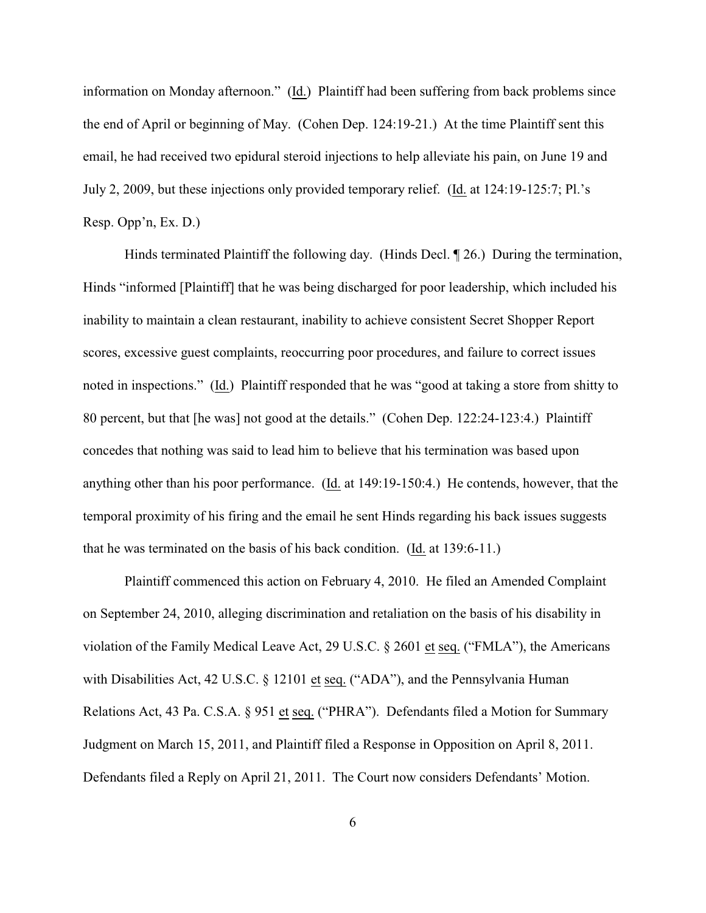information on Monday afternoon." (Id.) Plaintiff had been suffering from back problems since the end of April or beginning of May. (Cohen Dep. 124:19-21.) At the time Plaintiff sent this email, he had received two epidural steroid injections to help alleviate his pain, on June 19 and July 2, 2009, but these injections only provided temporary relief. (Id. at 124:19-125:7; Pl.'s Resp. Opp'n, Ex. D.)

Hinds terminated Plaintiff the following day. (Hinds Decl. ¶ 26.) During the termination, Hinds "informed [Plaintiff] that he was being discharged for poor leadership, which included his inability to maintain a clean restaurant, inability to achieve consistent Secret Shopper Report scores, excessive guest complaints, reoccurring poor procedures, and failure to correct issues noted in inspections." (Id.) Plaintiff responded that he was "good at taking a store from shitty to 80 percent, but that [he was] not good at the details." (Cohen Dep. 122:24-123:4.) Plaintiff concedes that nothing was said to lead him to believe that his termination was based upon anything other than his poor performance. (Id. at 149:19-150:4.) He contends, however, that the temporal proximity of his firing and the email he sent Hinds regarding his back issues suggests that he was terminated on the basis of his back condition. (Id. at 139:6-11.)

Plaintiff commenced this action on February 4, 2010. He filed an Amended Complaint on September 24, 2010, alleging discrimination and retaliation on the basis of his disability in violation of the Family Medical Leave Act, 29 U.S.C. § 2601 et seq. ("FMLA"), the Americans with Disabilities Act, 42 U.S.C. § 12101 et seq. ("ADA"), and the Pennsylvania Human Relations Act, 43 Pa. C.S.A. § 951 et seq. ("PHRA"). Defendants filed a Motion for Summary Judgment on March 15, 2011, and Plaintiff filed a Response in Opposition on April 8, 2011. Defendants filed a Reply on April 21, 2011. The Court now considers Defendants' Motion.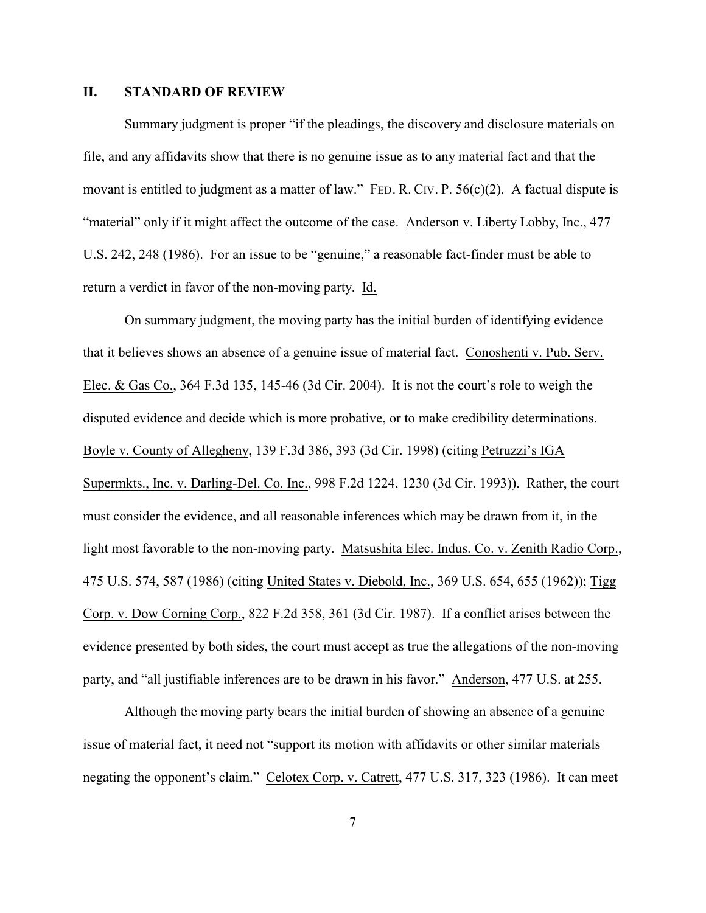#### **II. STANDARD OF REVIEW**

Summary judgment is proper "if the pleadings, the discovery and disclosure materials on file, and any affidavits show that there is no genuine issue as to any material fact and that the movant is entitled to judgment as a matter of law." FED. R. CIV. P. 56(c)(2). A factual dispute is "material" only if it might affect the outcome of the case. Anderson v. Liberty Lobby, Inc., 477 U.S. 242, 248 (1986). For an issue to be "genuine," a reasonable fact-finder must be able to return a verdict in favor of the non-moving party. Id.

On summary judgment, the moving party has the initial burden of identifying evidence that it believes shows an absence of a genuine issue of material fact. Conoshenti v. Pub. Serv. Elec. & Gas Co., 364 F.3d 135, 145-46 (3d Cir. 2004). It is not the court's role to weigh the disputed evidence and decide which is more probative, or to make credibility determinations. Boyle v. County of Allegheny, 139 F.3d 386, 393 (3d Cir. 1998) (citing Petruzzi's IGA Supermkts., Inc. v. Darling-Del. Co. Inc., 998 F.2d 1224, 1230 (3d Cir. 1993)). Rather, the court must consider the evidence, and all reasonable inferences which may be drawn from it, in the light most favorable to the non-moving party. Matsushita Elec. Indus. Co. v. Zenith Radio Corp., 475 U.S. 574, 587 (1986) (citing United States v. Diebold, Inc., 369 U.S. 654, 655 (1962)); Tigg Corp. v. Dow Corning Corp., 822 F.2d 358, 361 (3d Cir. 1987). If a conflict arises between the evidence presented by both sides, the court must accept as true the allegations of the non-moving party, and "all justifiable inferences are to be drawn in his favor." Anderson, 477 U.S. at 255.

Although the moving party bears the initial burden of showing an absence of a genuine issue of material fact, it need not "support its motion with affidavits or other similar materials negating the opponent's claim." Celotex Corp. v. Catrett, 477 U.S. 317, 323 (1986). It can meet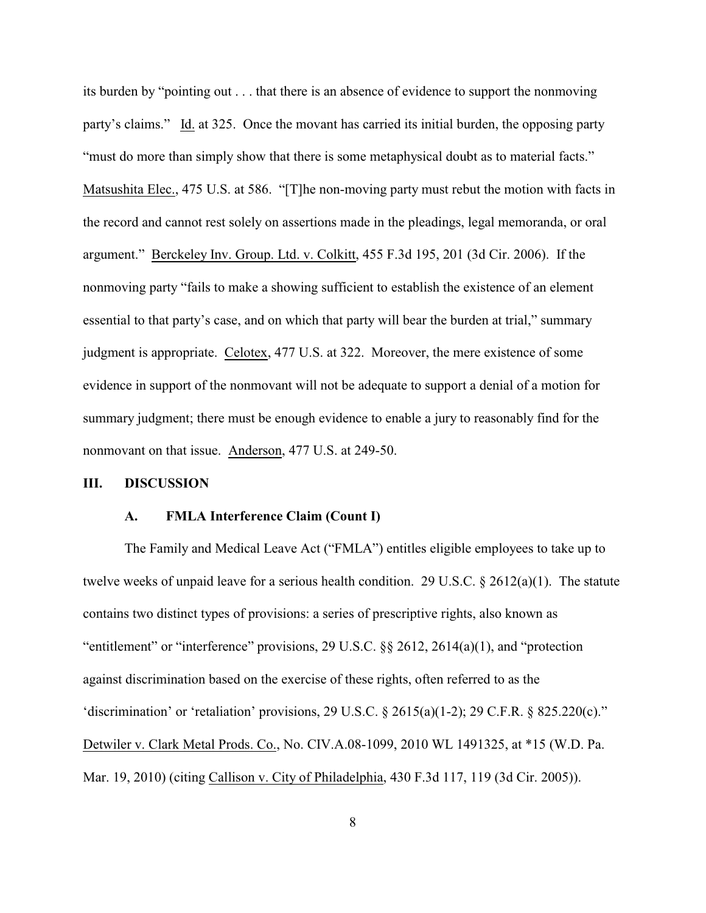its burden by "pointing out . . . that there is an absence of evidence to support the nonmoving party's claims." Id. at 325. Once the movant has carried its initial burden, the opposing party "must do more than simply show that there is some metaphysical doubt as to material facts." Matsushita Elec., 475 U.S. at 586. "[T]he non-moving party must rebut the motion with facts in the record and cannot rest solely on assertions made in the pleadings, legal memoranda, or oral argument." Berckeley Inv. Group. Ltd. v. Colkitt, 455 F.3d 195, 201 (3d Cir. 2006). If the nonmoving party "fails to make a showing sufficient to establish the existence of an element essential to that party's case, and on which that party will bear the burden at trial," summary judgment is appropriate. Celotex, 477 U.S. at 322. Moreover, the mere existence of some evidence in support of the nonmovant will not be adequate to support a denial of a motion for summary judgment; there must be enough evidence to enable a jury to reasonably find for the nonmovant on that issue. Anderson, 477 U.S. at 249-50.

#### **III. DISCUSSION**

#### **A. FMLA Interference Claim (Count I)**

The Family and Medical Leave Act ("FMLA") entitles eligible employees to take up to twelve weeks of unpaid leave for a serious health condition. 29 U.S.C.  $\S 2612(a)(1)$ . The statute contains two distinct types of provisions: a series of prescriptive rights, also known as "entitlement" or "interference" provisions, 29 U.S.C. §§ 2612, 2614(a)(1), and "protection against discrimination based on the exercise of these rights, often referred to as the 'discrimination' or 'retaliation' provisions, 29 U.S.C.  $\S$  2615(a)(1-2); 29 C.F.R.  $\S$  825.220(c)." Detwiler v. Clark Metal Prods. Co., No. CIV.A.08-1099, 2010 WL 1491325, at \*15 (W.D. Pa. Mar. 19, 2010) (citing Callison v. City of Philadelphia, 430 F.3d 117, 119 (3d Cir. 2005)).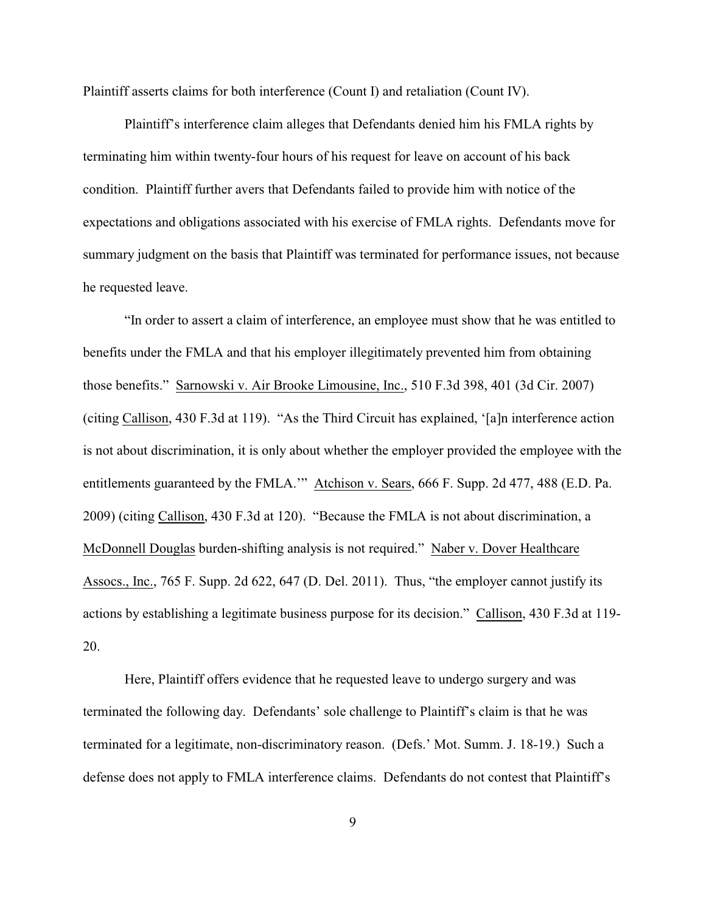Plaintiff asserts claims for both interference (Count I) and retaliation (Count IV).

Plaintiff's interference claim alleges that Defendants denied him his FMLA rights by terminating him within twenty-four hours of his request for leave on account of his back condition. Plaintiff further avers that Defendants failed to provide him with notice of the expectations and obligations associated with his exercise of FMLA rights. Defendants move for summary judgment on the basis that Plaintiff was terminated for performance issues, not because he requested leave.

"In order to assert a claim of interference, an employee must show that he was entitled to benefits under the FMLA and that his employer illegitimately prevented him from obtaining those benefits." Sarnowski v. Air Brooke Limousine, Inc., 510 F.3d 398, 401 (3d Cir. 2007) (citing Callison, 430 F.3d at 119). "As the Third Circuit has explained, '[a]n interference action is not about discrimination, it is only about whether the employer provided the employee with the entitlements guaranteed by the FMLA.'" Atchison v. Sears, 666 F. Supp. 2d 477, 488 (E.D. Pa. 2009) (citing Callison, 430 F.3d at 120). "Because the FMLA is not about discrimination, a McDonnell Douglas burden-shifting analysis is not required." Naber v. Dover Healthcare Assocs., Inc., 765 F. Supp. 2d 622, 647 (D. Del. 2011). Thus, "the employer cannot justify its actions by establishing a legitimate business purpose for its decision." Callison, 430 F.3d at 119- 20.

Here, Plaintiff offers evidence that he requested leave to undergo surgery and was terminated the following day. Defendants' sole challenge to Plaintiff's claim is that he was terminated for a legitimate, non-discriminatory reason. (Defs.' Mot. Summ. J. 18-19.) Such a defense does not apply to FMLA interference claims. Defendants do not contest that Plaintiff's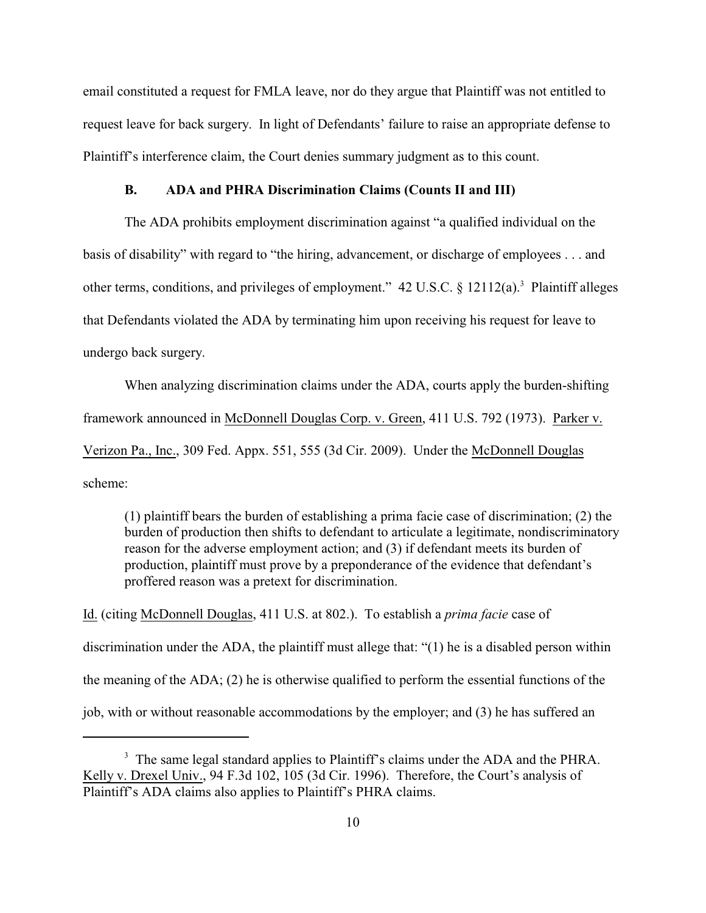email constituted a request for FMLA leave, nor do they argue that Plaintiff was not entitled to request leave for back surgery. In light of Defendants' failure to raise an appropriate defense to Plaintiff's interference claim, the Court denies summary judgment as to this count.

### **B. ADA and PHRA Discrimination Claims (Counts II and III)**

The ADA prohibits employment discrimination against "a qualified individual on the basis of disability" with regard to "the hiring, advancement, or discharge of employees . . . and other terms, conditions, and privileges of employment."  $42 \text{ U.S.C.}$  §  $12112(a)$ . Plaintiff alleges that Defendants violated the ADA by terminating him upon receiving his request for leave to undergo back surgery.

When analyzing discrimination claims under the ADA, courts apply the burden-shifting framework announced in McDonnell Douglas Corp. v. Green, 411 U.S. 792 (1973). Parker v. Verizon Pa., Inc., 309 Fed. Appx. 551, 555 (3d Cir. 2009). Under the McDonnell Douglas scheme:

(1) plaintiff bears the burden of establishing a prima facie case of discrimination; (2) the burden of production then shifts to defendant to articulate a legitimate, nondiscriminatory reason for the adverse employment action; and (3) if defendant meets its burden of production, plaintiff must prove by a preponderance of the evidence that defendant's proffered reason was a pretext for discrimination.

Id. (citing McDonnell Douglas, 411 U.S. at 802.).To establish a *prima facie* case of discrimination under the ADA, the plaintiff must allege that: "(1) he is a disabled person within the meaning of the ADA; (2) he is otherwise qualified to perform the essential functions of the job, with or without reasonable accommodations by the employer; and (3) he has suffered an

<sup>&</sup>lt;sup>3</sup> The same legal standard applies to Plaintiff's claims under the ADA and the PHRA. Kelly v. Drexel Univ., 94 F.3d 102, 105 (3d Cir. 1996). Therefore, the Court's analysis of Plaintiff's ADA claims also applies to Plaintiff's PHRA claims.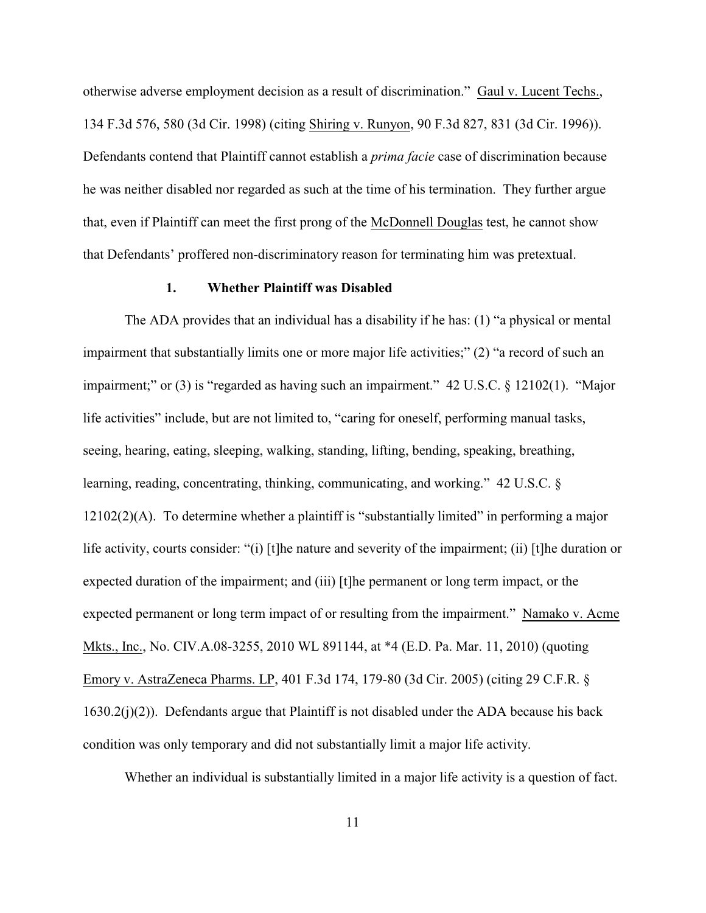otherwise adverse employment decision as a result of discrimination." Gaul v. Lucent Techs., 134 F.3d 576, 580 (3d Cir. 1998) (citing Shiring v. Runyon, 90 F.3d 827, 831 (3d Cir. 1996)). Defendants contend that Plaintiff cannot establish a *prima facie* case of discrimination because he was neither disabled nor regarded as such at the time of his termination. They further argue that, even if Plaintiff can meet the first prong of the McDonnell Douglas test, he cannot show that Defendants' proffered non-discriminatory reason for terminating him was pretextual.

### **1. Whether Plaintiff was Disabled**

The ADA provides that an individual has a disability if he has: (1) "a physical or mental impairment that substantially limits one or more major life activities;" (2) "a record of such an impairment;" or (3) is "regarded as having such an impairment."  $42 \text{ U.S.C.} \& 12102(1)$ . "Major" life activities" include, but are not limited to, "caring for oneself, performing manual tasks, seeing, hearing, eating, sleeping, walking, standing, lifting, bending, speaking, breathing, learning, reading, concentrating, thinking, communicating, and working." 42 U.S.C. § 12102(2)(A). To determine whether a plaintiff is "substantially limited" in performing a major life activity, courts consider: "(i) [t]he nature and severity of the impairment; (ii) [t]he duration or expected duration of the impairment; and (iii) [t]he permanent or long term impact, or the expected permanent or long term impact of or resulting from the impairment." Namako v. Acme Mkts., Inc., No. CIV.A.08-3255, 2010 WL 891144, at \*4 (E.D. Pa. Mar. 11, 2010) (quoting Emory v. AstraZeneca Pharms. LP, 401 F.3d 174, 179-80 (3d Cir. 2005) (citing 29 C.F.R. § 1630.2(j)(2)). Defendants argue that Plaintiff is not disabled under the ADA because his back condition was only temporary and did not substantially limit a major life activity.

Whether an individual is substantially limited in a major life activity is a question of fact.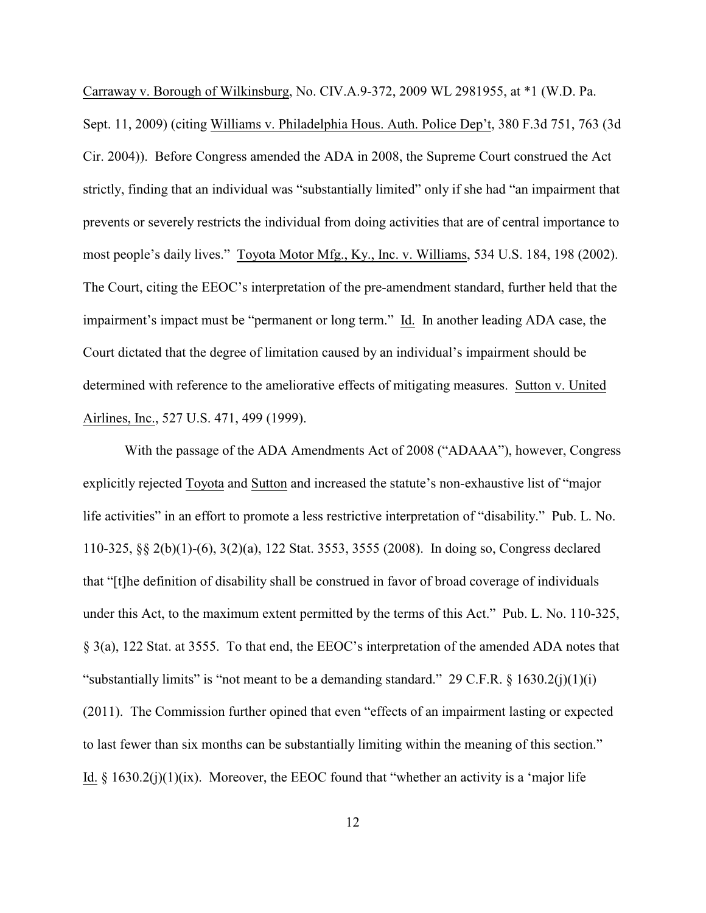Carraway v. Borough of Wilkinsburg, No. CIV.A.9-372, 2009 WL 2981955, at \*1 (W.D. Pa.

Sept. 11, 2009) (citing Williams v. Philadelphia Hous. Auth. Police Dep't, 380 F.3d 751, 763 (3d Cir. 2004)). Before Congress amended the ADA in 2008, the Supreme Court construed the Act strictly, finding that an individual was "substantially limited" only if she had "an impairment that prevents or severely restricts the individual from doing activities that are of central importance to most people's daily lives." Toyota Motor Mfg., Ky., Inc. v. Williams, 534 U.S. 184, 198 (2002). The Court, citing the EEOC's interpretation of the pre-amendment standard, further held that the impairment's impact must be "permanent or long term." Id. In another leading ADA case, the Court dictated that the degree of limitation caused by an individual's impairment should be determined with reference to the ameliorative effects of mitigating measures. Sutton v. United Airlines, Inc., 527 U.S. 471, 499 (1999).

With the passage of the ADA Amendments Act of 2008 ("ADAAA"), however, Congress explicitly rejected Toyota and Sutton and increased the statute's non-exhaustive list of "major life activities" in an effort to promote a less restrictive interpretation of "disability." Pub. L. No. 110-325, §§ 2(b)(1)-(6), 3(2)(a), 122 Stat. 3553, 3555 (2008). In doing so, Congress declared that "[t]he definition of disability shall be construed in favor of broad coverage of individuals under this Act, to the maximum extent permitted by the terms of this Act." Pub. L. No. 110-325, § 3(a), 122 Stat. at 3555. To that end, the EEOC's interpretation of the amended ADA notes that "substantially limits" is "not meant to be a demanding standard." 29 C.F.R.  $\S$  1630.2(j)(1)(i) (2011). The Commission further opined that even "effects of an impairment lasting or expected to last fewer than six months can be substantially limiting within the meaning of this section." Id.  $\S$  1630.2(j)(1)(ix). Moreover, the EEOC found that "whether an activity is a 'major life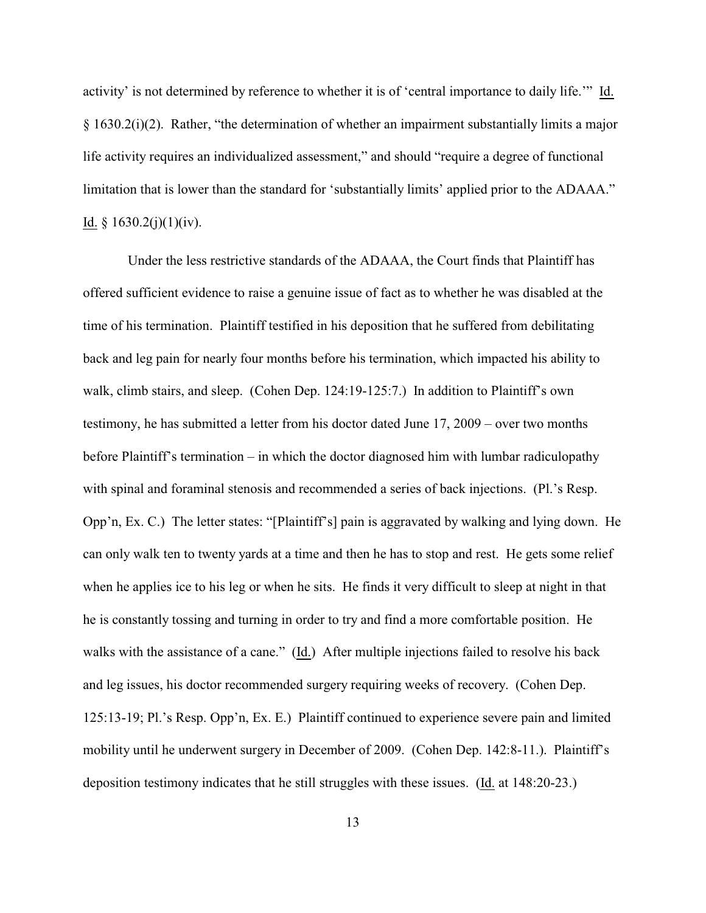activity' is not determined by reference to whether it is of 'central importance to daily life.'" Id. § 1630.2(i)(2). Rather, "the determination of whether an impairment substantially limits a major life activity requires an individualized assessment," and should "require a degree of functional limitation that is lower than the standard for 'substantially limits' applied prior to the ADAAA." Id.  $§ 1630.2(j)(1)(iv)$ .

 Under the less restrictive standards of the ADAAA, the Court finds that Plaintiff has offered sufficient evidence to raise a genuine issue of fact as to whether he was disabled at the time of his termination. Plaintiff testified in his deposition that he suffered from debilitating back and leg pain for nearly four months before his termination, which impacted his ability to walk, climb stairs, and sleep. (Cohen Dep. 124:19-125:7.) In addition to Plaintiff's own testimony, he has submitted a letter from his doctor dated June 17, 2009 – over two months before Plaintiff's termination – in which the doctor diagnosed him with lumbar radiculopathy with spinal and foraminal stenosis and recommended a series of back injections. (Pl.'s Resp. Opp'n, Ex. C.) The letter states: "[Plaintiff's] pain is aggravated by walking and lying down. He can only walk ten to twenty yards at a time and then he has to stop and rest. He gets some relief when he applies ice to his leg or when he sits. He finds it very difficult to sleep at night in that he is constantly tossing and turning in order to try and find a more comfortable position. He walks with the assistance of a cane." (Id.) After multiple injections failed to resolve his back and leg issues, his doctor recommended surgery requiring weeks of recovery. (Cohen Dep. 125:13-19; Pl.'s Resp. Opp'n, Ex. E.) Plaintiff continued to experience severe pain and limited mobility until he underwent surgery in December of 2009. (Cohen Dep. 142:8-11.). Plaintiff's deposition testimony indicates that he still struggles with these issues. (Id. at 148:20-23.)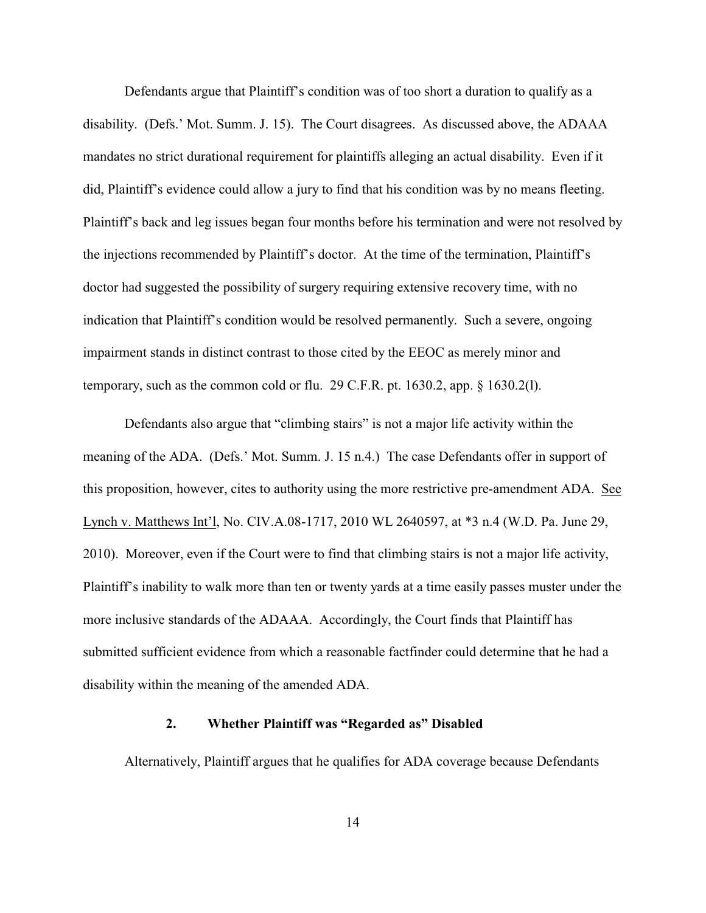Defendants argue that Plaintiff's condition was of too short a duration to qualify as a disability. (Defs.' Mot. Summ. J. 15). The Court disagrees. As discussed above, the ADAAA mandates no strict durational requirement for plaintiffs alleging an actual disability. Even if it did, Plaintiff's evidence could allow a jury to find that his condition was by no means fleeting. Plaintiff's back and leg issues began four months before his termination and were not resolved by the injections recommended by Plaintiff's doctor. At the time of the termination, Plaintiff's doctor had suggested the possibility of surgery requiring extensive recovery time, with no indication that Plaintiff's condition would be resolved permanently. Such a severe, ongoing impairment stands in distinct contrast to those cited by the EEOC as merely minor and temporary, such as the common cold or flu. 29 C.F.R. pt. 1630.2, app. § 1630.2(l).

Defendants also argue that "climbing stairs" is not a major life activity within the meaning of the ADA. (Defs.' Mot. Summ. J. 15 n.4.) The case Defendants offer in support of this proposition, however, cites to authority using the more restrictive pre-amendment ADA. See Lynch v. Matthews Int'l, No. CIV.A.08-1717, 2010 WL 2640597, at \*3 n.4 (W.D. Pa. June 29, 2010). Moreover, even if the Court were to find that climbing stairs is not a major life activity, Plaintiff's inability to walk more than ten or twenty yards at a time easily passes muster under the more inclusive standards of the ADAAA. Accordingly, the Court finds that Plaintiff has submitted sufficient evidence from which a reasonable factfinder could determine that he had a disability within the meaning of the amended ADA.

## **2. Whether Plaintiff was "Regarded as" Disabled**

Alternatively, Plaintiff argues that he qualifies for ADA coverage because Defendants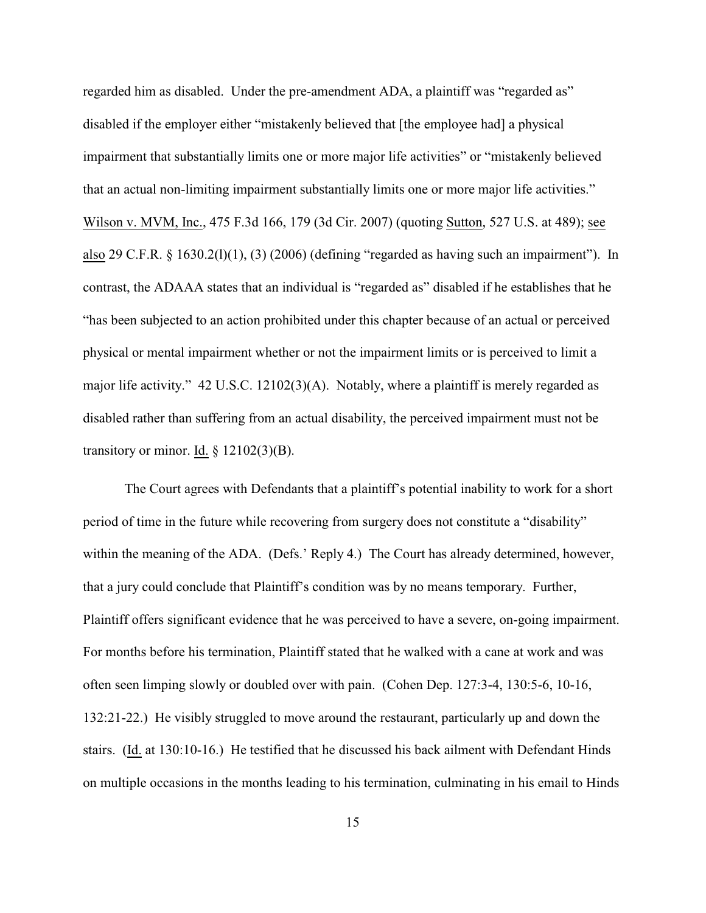regarded him as disabled. Under the pre-amendment ADA, a plaintiff was "regarded as" disabled if the employer either "mistakenly believed that [the employee had] a physical impairment that substantially limits one or more major life activities" or "mistakenly believed that an actual non-limiting impairment substantially limits one or more major life activities." Wilson v. MVM, Inc., 475 F.3d 166, 179 (3d Cir. 2007) (quoting Sutton, 527 U.S. at 489); see also 29 C.F.R.  $\S$  1630.2(1)(1), (3) (2006) (defining "regarded as having such an impairment"). In contrast, the ADAAA states that an individual is "regarded as" disabled if he establishes that he "has been subjected to an action prohibited under this chapter because of an actual or perceived physical or mental impairment whether or not the impairment limits or is perceived to limit a major life activity." 42 U.S.C. 12102(3)(A). Notably, where a plaintiff is merely regarded as disabled rather than suffering from an actual disability, the perceived impairment must not be transitory or minor. Id.  $\S$  12102(3)(B).

The Court agrees with Defendants that a plaintiff's potential inability to work for a short period of time in the future while recovering from surgery does not constitute a "disability" within the meaning of the ADA. (Defs.' Reply 4.) The Court has already determined, however, that a jury could conclude that Plaintiff's condition was by no means temporary. Further, Plaintiff offers significant evidence that he was perceived to have a severe, on-going impairment. For months before his termination, Plaintiff stated that he walked with a cane at work and was often seen limping slowly or doubled over with pain. (Cohen Dep. 127:3-4, 130:5-6, 10-16, 132:21-22.) He visibly struggled to move around the restaurant, particularly up and down the stairs. (Id. at 130:10-16.) He testified that he discussed his back ailment with Defendant Hinds on multiple occasions in the months leading to his termination, culminating in his email to Hinds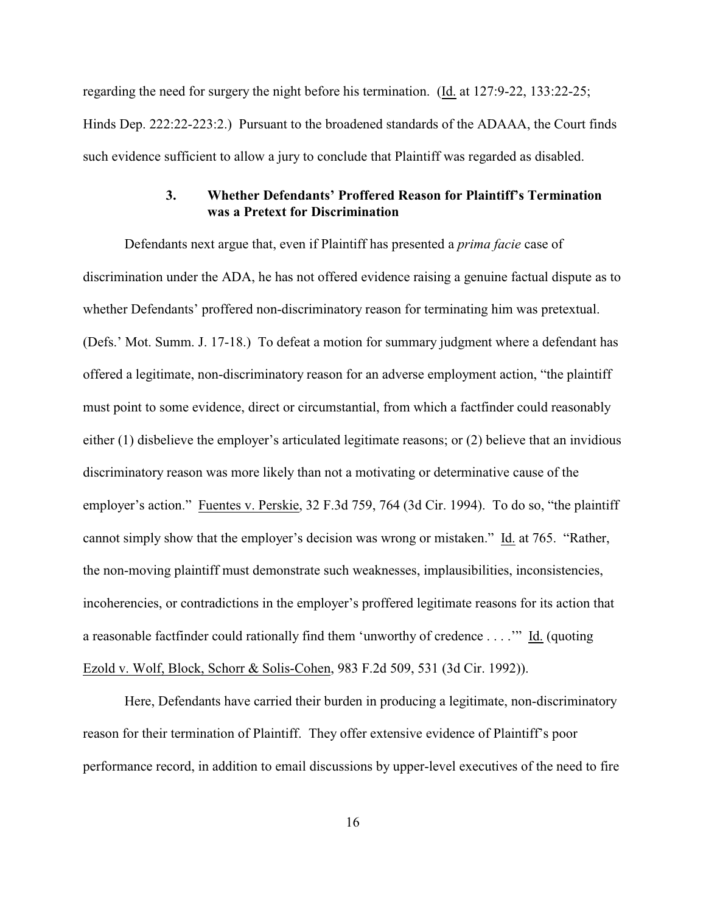regarding the need for surgery the night before his termination. (Id. at 127:9-22, 133:22-25; Hinds Dep. 222:22-223:2.) Pursuant to the broadened standards of the ADAAA, the Court finds such evidence sufficient to allow a jury to conclude that Plaintiff was regarded as disabled.

### **3. Whether Defendants' Proffered Reason for Plaintiff's Termination was a Pretext for Discrimination**

Defendants next argue that, even if Plaintiff has presented a *prima facie* case of discrimination under the ADA, he has not offered evidence raising a genuine factual dispute as to whether Defendants' proffered non-discriminatory reason for terminating him was pretextual. (Defs.' Mot. Summ. J. 17-18.) To defeat a motion for summary judgment where a defendant has offered a legitimate, non-discriminatory reason for an adverse employment action, "the plaintiff must point to some evidence, direct or circumstantial, from which a factfinder could reasonably either (1) disbelieve the employer's articulated legitimate reasons; or (2) believe that an invidious discriminatory reason was more likely than not a motivating or determinative cause of the employer's action." Fuentes v. Perskie, 32 F.3d 759, 764 (3d Cir. 1994). To do so, "the plaintiff cannot simply show that the employer's decision was wrong or mistaken." Id. at 765. "Rather, the non-moving plaintiff must demonstrate such weaknesses, implausibilities, inconsistencies, incoherencies, or contradictions in the employer's proffered legitimate reasons for its action that a reasonable factfinder could rationally find them 'unworthy of credence . . . .'" Id. (quoting Ezold v. Wolf, Block, Schorr & Solis-Cohen, 983 F.2d 509, 531 (3d Cir. 1992)).

Here, Defendants have carried their burden in producing a legitimate, non-discriminatory reason for their termination of Plaintiff. They offer extensive evidence of Plaintiff's poor performance record, in addition to email discussions by upper-level executives of the need to fire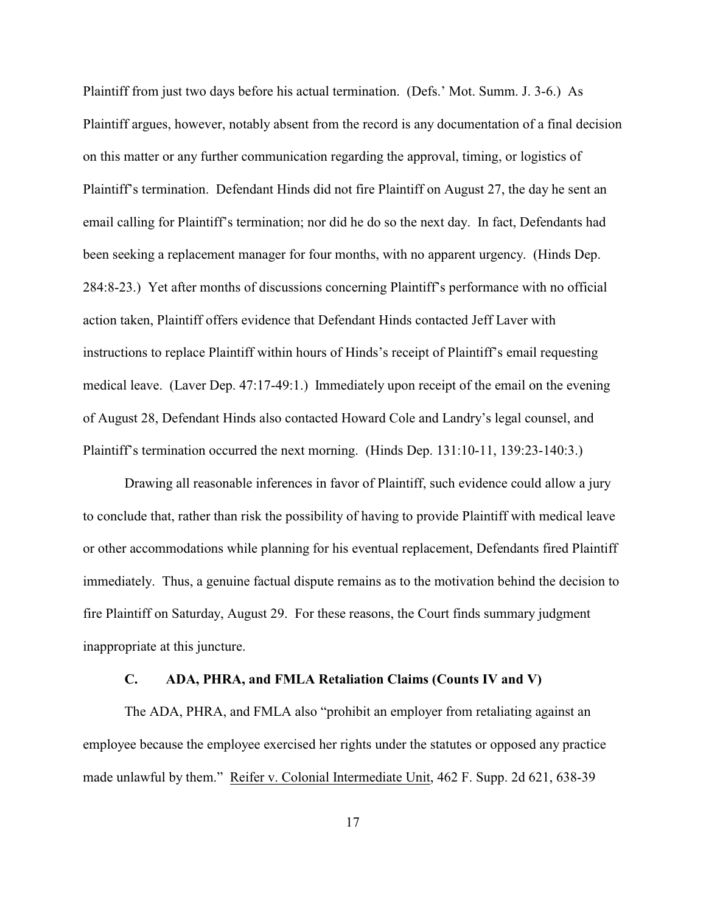Plaintiff from just two days before his actual termination. (Defs.' Mot. Summ. J. 3-6.) As Plaintiff argues, however, notably absent from the record is any documentation of a final decision on this matter or any further communication regarding the approval, timing, or logistics of Plaintiff's termination. Defendant Hinds did not fire Plaintiff on August 27, the day he sent an email calling for Plaintiff's termination; nor did he do so the next day. In fact, Defendants had been seeking a replacement manager for four months, with no apparent urgency. (Hinds Dep. 284:8-23.) Yet after months of discussions concerning Plaintiff's performance with no official action taken, Plaintiff offers evidence that Defendant Hinds contacted Jeff Laver with instructions to replace Plaintiff within hours of Hinds's receipt of Plaintiff's email requesting medical leave. (Laver Dep. 47:17-49:1.) Immediately upon receipt of the email on the evening of August 28, Defendant Hinds also contacted Howard Cole and Landry's legal counsel, and Plaintiff's termination occurred the next morning. (Hinds Dep. 131:10-11, 139:23-140:3.)

Drawing all reasonable inferences in favor of Plaintiff, such evidence could allow a jury to conclude that, rather than risk the possibility of having to provide Plaintiff with medical leave or other accommodations while planning for his eventual replacement, Defendants fired Plaintiff immediately. Thus, a genuine factual dispute remains as to the motivation behind the decision to fire Plaintiff on Saturday, August 29. For these reasons, the Court finds summary judgment inappropriate at this juncture.

#### **C. ADA, PHRA, and FMLA Retaliation Claims (Counts IV and V)**

The ADA, PHRA, and FMLA also "prohibit an employer from retaliating against an employee because the employee exercised her rights under the statutes or opposed any practice made unlawful by them." Reifer v. Colonial Intermediate Unit, 462 F. Supp. 2d 621, 638-39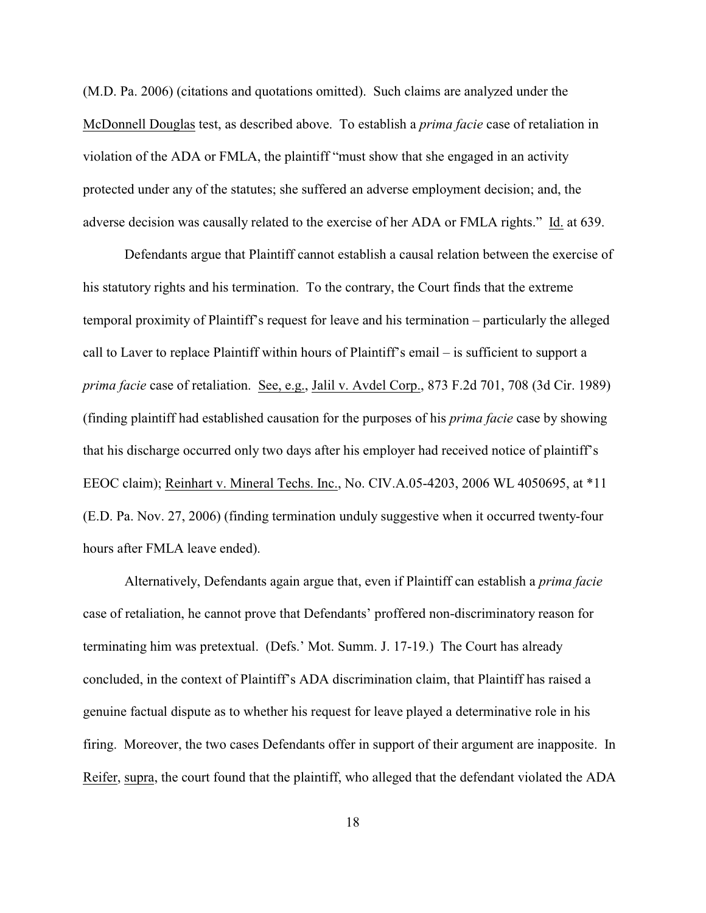(M.D. Pa. 2006) (citations and quotations omitted). Such claims are analyzed under the McDonnell Douglas test, as described above. To establish a *prima facie* case of retaliation in violation of the ADA or FMLA, the plaintiff "must show that she engaged in an activity protected under any of the statutes; she suffered an adverse employment decision; and, the adverse decision was causally related to the exercise of her ADA or FMLA rights." Id. at 639.

Defendants argue that Plaintiff cannot establish a causal relation between the exercise of his statutory rights and his termination. To the contrary, the Court finds that the extreme temporal proximity of Plaintiff's request for leave and his termination – particularly the alleged call to Laver to replace Plaintiff within hours of Plaintiff's email – is sufficient to support a *prima facie* case of retaliation. See, e.g., Jalil v. Avdel Corp., 873 F.2d 701, 708 (3d Cir. 1989) (finding plaintiff had established causation for the purposes of his *prima facie* case by showing that his discharge occurred only two days after his employer had received notice of plaintiff's EEOC claim); Reinhart v. Mineral Techs. Inc., No. CIV.A.05-4203, 2006 WL 4050695, at \*11 (E.D. Pa. Nov. 27, 2006) (finding termination unduly suggestive when it occurred twenty-four hours after FMLA leave ended).

Alternatively, Defendants again argue that, even if Plaintiff can establish a *prima facie* case of retaliation, he cannot prove that Defendants' proffered non-discriminatory reason for terminating him was pretextual. (Defs.' Mot. Summ. J. 17-19.) The Court has already concluded, in the context of Plaintiff's ADA discrimination claim, that Plaintiff has raised a genuine factual dispute as to whether his request for leave played a determinative role in his firing. Moreover, the two cases Defendants offer in support of their argument are inapposite. In Reifer, supra, the court found that the plaintiff, who alleged that the defendant violated the ADA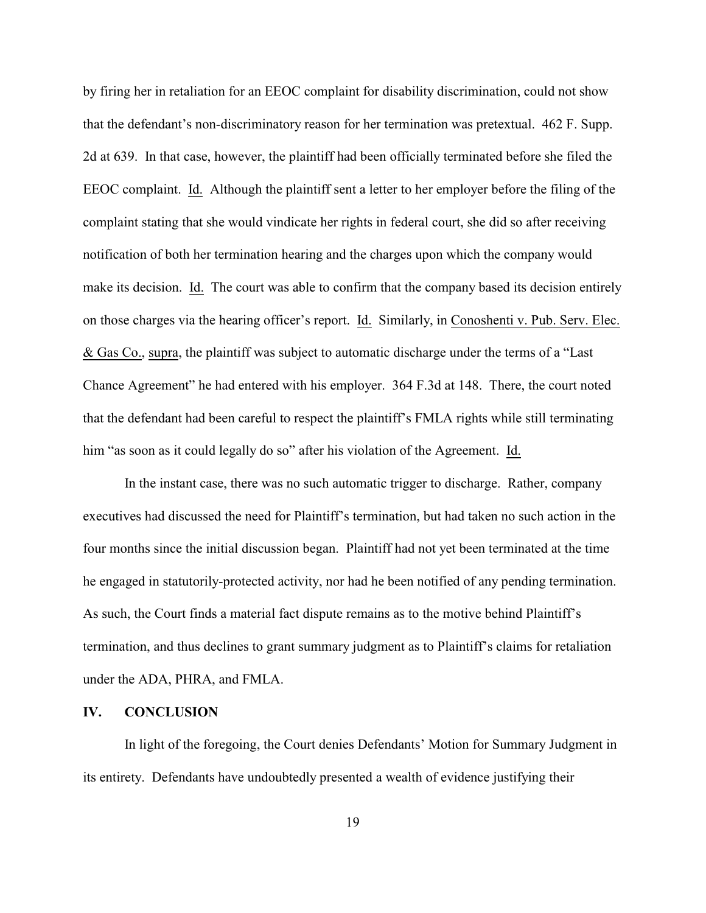by firing her in retaliation for an EEOC complaint for disability discrimination, could not show that the defendant's non-discriminatory reason for her termination was pretextual. 462 F. Supp. 2d at 639. In that case, however, the plaintiff had been officially terminated before she filed the EEOC complaint. Id. Although the plaintiff sent a letter to her employer before the filing of the complaint stating that she would vindicate her rights in federal court, she did so after receiving notification of both her termination hearing and the charges upon which the company would make its decision. Id. The court was able to confirm that the company based its decision entirely on those charges via the hearing officer's report. Id. Similarly, in Conoshenti v. Pub. Serv. Elec. & Gas Co., supra, the plaintiff was subject to automatic discharge under the terms of a "Last Chance Agreement" he had entered with his employer. 364 F.3d at 148. There, the court noted that the defendant had been careful to respect the plaintiff's FMLA rights while still terminating him "as soon as it could legally do so" after his violation of the Agreement. Id.

In the instant case, there was no such automatic trigger to discharge. Rather, company executives had discussed the need for Plaintiff's termination, but had taken no such action in the four months since the initial discussion began. Plaintiff had not yet been terminated at the time he engaged in statutorily-protected activity, nor had he been notified of any pending termination. As such, the Court finds a material fact dispute remains as to the motive behind Plaintiff's termination, and thus declines to grant summary judgment as to Plaintiff's claims for retaliation under the ADA, PHRA, and FMLA.

## **IV. CONCLUSION**

In light of the foregoing, the Court denies Defendants' Motion for Summary Judgment in its entirety. Defendants have undoubtedly presented a wealth of evidence justifying their